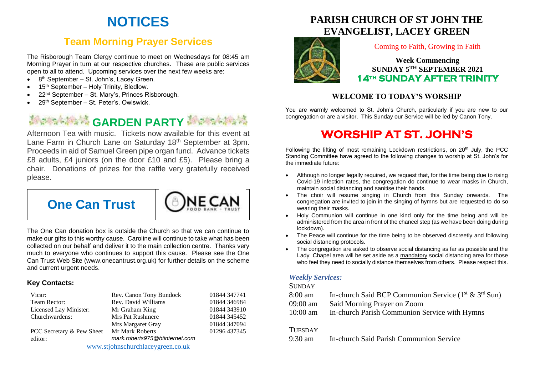# **NOTICES**

## **Team Morning Prayer Services**

The Risborough Team Clergy continue to meet on Wednesdays for 08:45 am Morning Prayer in turn at our respective churches. These are public services open to all to attend. Upcoming services over the next few weeks are:

- 8<sup>th</sup> September St. John's, Lacey Green.
- 15<sup>th</sup> September Holy Trinity, Bledlow.
- 22nd September St. Mary's, Princes Risborough.
- 29th September St. Peter's, Owlswick.

# **Management CARDEN PARTY Management**

Afternoon Tea with music. Tickets now available for this event at Lane Farm in Church Lane on Saturday 18<sup>th</sup> September at 3pm. Proceeds in aid of Samuel Green pipe organ fund. Advance tickets £8 adults, £4 juniors (on the door £10 and £5). Please bring a chair. Donations of prizes for the raffle very gratefully received please.

NF CA



The One Can donation box is outside the Church so that we can continue to make our gifts to this worthy cause. Caroline will continue to take what has been collected on our behalf and deliver it to the main collection centre. Thanks very much to everyone who continues to support this cause. Please see the One Can Trust Web Site (www.onecantrust.org.uk) for further details on the scheme and current urgent needs.

#### **Key Contacts:**

| Vicar:                            | Rev. Canon Tony Bundock        | 01844 347741 |
|-----------------------------------|--------------------------------|--------------|
| Team Rector:                      | Rev. David Williams            | 01844 346984 |
| Licensed Lay Minister:            | Mr Graham King                 | 01844 343910 |
| Churchwardens:                    | Mrs Pat Rushmere               | 01844 345452 |
|                                   | Mrs Margaret Gray              | 01844 347094 |
| PCC Secretary & Pew Sheet         | Mr Mark Roberts                | 01296 437345 |
| editor:                           | mark.roberts975@btinternet.com |              |
| www.stjohnschurchlaceygreen.co.uk |                                |              |

## **PARISH CHURCH OF ST JOHN THE EVANGELIST, LACEY GREEN**



#### Coming to Faith, Growing in Faith

**Week Commencing SUNDAY 5 TH SEPTEMBER 2021 14th SUNDAY AFTER TRINITY** 

#### **WELCOME TO TODAY'S WORSHIP**

You are warmly welcomed to St. John's Church, particularly if you are new to our congregation or are a visitor. This Sunday our Service will be led by Canon Tony.

# **WORSHIP AT ST. JOHN'S**

Following the lifting of most remaining Lockdown restrictions, on  $20<sup>th</sup>$  July, the PCC Standing Committee have agreed to the following changes to worship at St. John's for the immediate future:

- Although no longer legally required, we request that, for the time being due to rising Covid-19 infection rates, the congregation do continue to wear masks in Church, maintain social distancing and sanitise their hands.
- The choir will resume singing in Church from this Sunday onwards. The congregation are invited to join in the singing of hymns but are requested to do so wearing their masks.
- Holy Communion will continue in one kind only for the time being and will be administered from the area in front of the chancel step (as we have been doing during lockdown).
- The Peace will continue for the time being to be observed discreetly and following social distancing protocols.
- The congregation are asked to observe social distancing as far as possible and the Lady Chapel area will be set aside as a mandatory social distancing area for those who feel they need to socially distance themselves from others. Please respect this.

#### *Weekly Services:*

#### **SUNDAY**

- 8:00 am In-church Said BCP Communion Service  $(1<sup>st</sup> \& 3<sup>rd</sup> Sun)$
- 09:00 am Said Morning Prayer on Zoom
- 10:00 am In-church Parish Communion Service with Hymns

#### **TUESDAY**

9:30 am In-church Said Parish Communion Service